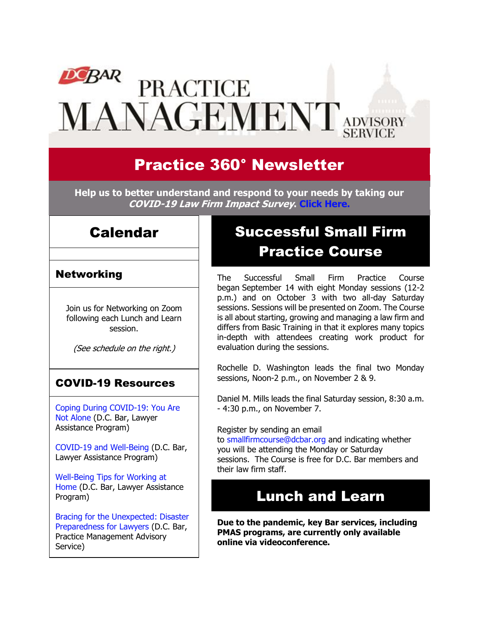# **DCBAR PRACTICE** MANAGEMENT ADVISORY

# Practice 360° Newsletter

**Help us to better understand and respond to your needs by taking our COVID-19 Law Firm Impact Survey. [Click Here.](https://www.surveymonkey.com/r/W9XMXJH)**

### Calendar

### **Networking**

Join us for Networking on Zoom following each Lunch and Learn session.

(See schedule on the right.)

### COVID-19 Resources

[Coping During COVID-19: You Are](https://www.dcbar.org/news-events/news/coping-during-covid-19-you-are-not-alone?utm_source=Real%20Magnet&utm_medium=INSERT_CHANNEL&utm_campaign=INSERT_LINK_ID)  [Not Alone](https://www.dcbar.org/news-events/news/coping-during-covid-19-you-are-not-alone?utm_source=Real%20Magnet&utm_medium=INSERT_CHANNEL&utm_campaign=INSERT_LINK_ID) (D.C. Bar, Lawyer Assistance Program)

[COVID-19 and Well-Being](https://dcbarcms-uat3.i3digital.com/DCBar/i3Base/DCBar/For%20Lawyers/Lawyer%20Assistance%20Program/PDFs/covid-19-and-well-being.pdf) (D.C. Bar, Lawyer Assistance Program)

[Well-Being Tips for Working at](https://dcbarcms-uat3.i3digital.com/DCBar/i3Base/DCBar/For%20Lawyers/Lawyer%20Assistance%20Program/PDFs/Wellness-Tips-Working-From-Home.pdf)  [Home](https://dcbarcms-uat3.i3digital.com/DCBar/i3Base/DCBar/For%20Lawyers/Lawyer%20Assistance%20Program/PDFs/Wellness-Tips-Working-From-Home.pdf) (D.C. Bar, Lawyer Assistance Program)

[Bracing for the Unexpected: Disaster](https://www.dcbar.org/news-events/news/bracing-for-the-unexpected-disaster-preparedness-f?utm_source=Real%20Magnet&utm_medium=INSERT_CHANNEL&utm_campaign=INSERT_LINK_ID)  [Preparedness for Lawyers](https://www.dcbar.org/news-events/news/bracing-for-the-unexpected-disaster-preparedness-f?utm_source=Real%20Magnet&utm_medium=INSERT_CHANNEL&utm_campaign=INSERT_LINK_ID) (D.C. Bar, Practice Management Advisory Service)

# Successful Small Firm Practice Course

The Successful Small Firm Practice Course began September 14 with eight Monday sessions (12-2 p.m.) and on October 3 with two all-day Saturday sessions. Sessions will be presented on Zoom. The Course is all about starting, growing and managing a law firm and differs from Basic Training in that it explores many topics in-depth with attendees creating work product for evaluation during the sessions.

Rochelle D. Washington leads the final two Monday sessions, Noon-2 p.m., on November 2 & 9.

Daniel M. Mills leads the final Saturday session, 8:30 a.m. - 4:30 p.m., on November 7.

Register by sending an email

to [smallfirmcourse@dcbar.org](mailto:SmallFirmCourse@DCBar.org) and indicating whether you will be attending the Monday or Saturday sessions. The Course is free for D.C. Bar members and their law firm staff.

## Lunch and Learn

**Due to the pandemic, key Bar services, including PMAS programs, are currently only available online via videoconference.**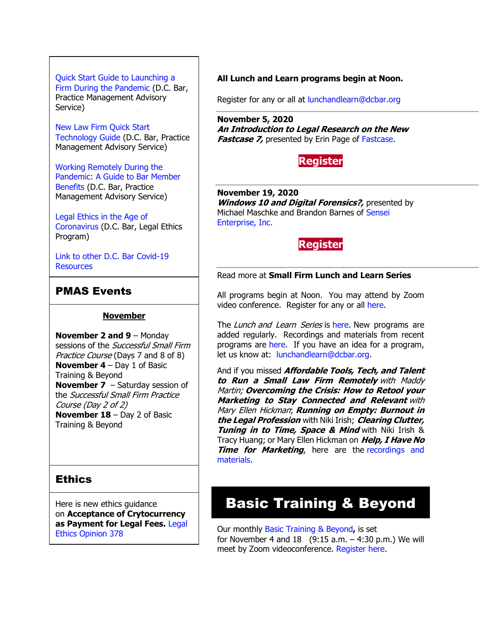### [Quick Start Guide to Launching a](https://www.dcbar.org/getmedia/d28b7c4b-3dcb-419e-828d-fdc2340588f9/Career-disruption-setting-up-a-law-firm-quickly-resources?utm_source=Real%20Magnet&utm_medium=INSERT_CHANNEL&utm_campaign=INSERT_LINK_ID)

[Firm During the Pandemic](https://www.dcbar.org/getmedia/d28b7c4b-3dcb-419e-828d-fdc2340588f9/Career-disruption-setting-up-a-law-firm-quickly-resources?utm_source=Real%20Magnet&utm_medium=INSERT_CHANNEL&utm_campaign=INSERT_LINK_ID) (D.C. Bar, Practice Management Advisory Service)

[New Law Firm Quick Start](https://www.dcbar.org/getmedia/34a3addd-9a13-4fc7-8e68-fbc2be8b50e0/Quick-start-Tech-Guide-final?utm_source=Real%20Magnet&utm_medium=INSERT_CHANNEL&utm_campaign=INSERT_LINK_ID)  [Technology Guide](https://www.dcbar.org/getmedia/34a3addd-9a13-4fc7-8e68-fbc2be8b50e0/Quick-start-Tech-Guide-final?utm_source=Real%20Magnet&utm_medium=INSERT_CHANNEL&utm_campaign=INSERT_LINK_ID) (D.C. Bar, Practice Management Advisory Service)

[Working Remotely During the](https://www.dcbar.org/news-events/news/working-remotely-during-the-pandemic-a-guide-to-ba?utm_source=Real%20Magnet&utm_medium=INSERT_CHANNEL&utm_campaign=INSERT_LINK_ID)  [Pandemic: A Guide to Bar Member](https://www.dcbar.org/news-events/news/working-remotely-during-the-pandemic-a-guide-to-ba?utm_source=Real%20Magnet&utm_medium=INSERT_CHANNEL&utm_campaign=INSERT_LINK_ID)  [Benefits](https://www.dcbar.org/news-events/news/working-remotely-during-the-pandemic-a-guide-to-ba?utm_source=Real%20Magnet&utm_medium=INSERT_CHANNEL&utm_campaign=INSERT_LINK_ID) (D.C. Bar, Practice Management Advisory Service)

[Legal Ethics in](https://www.dcbar.org/news-events/news/legal-ethics-in-the-age-of-the-coronavirus?utm_source=Real%20Magnet&utm_medium=INSERT_CHANNEL&utm_campaign=INSERT_LINK_ID) the Age of [Coronavirus](https://www.dcbar.org/news-events/news/legal-ethics-in-the-age-of-the-coronavirus?utm_source=Real%20Magnet&utm_medium=INSERT_CHANNEL&utm_campaign=INSERT_LINK_ID) (D.C. Bar, Legal Ethics Program)

[Link to other D.C. Bar Covid-19](https://www.dcbar.org/for-lawyers/membership/covid-19-resources?utm_source=Real%20Magnet&utm_medium=INSERT_CHANNEL&utm_campaign=INSERT_LINK_ID)  **[Resources](https://www.dcbar.org/for-lawyers/membership/covid-19-resources?utm_source=Real%20Magnet&utm_medium=INSERT_CHANNEL&utm_campaign=INSERT_LINK_ID)** 

### PMAS Events

#### **November**

**November 2 and 9** – Monday sessions of the *Successful Small Firm* Practice Course (Days 7 and 8 of 8) **November 4** – Day 1 of Basic Training & Beyond **November 7** – Saturday session of the Successful Small Firm Practice Course (Day 2 of 2) **November 18** – Day 2 of Basic Training & Beyond

#### **Ethics**

Here is new ethics guidance on **Acceptance of Crytocurrency as Payment for Legal Fees.** [Legal](https://www.dcbar.org/for-lawyers/legal-ethics/ethics-opinions-(1)?utm_source=Real%20Magnet&utm_medium=INSERT_CHANNEL&utm_campaign=INSERT_LINK_ID)  [Ethics Opinion 378](https://www.dcbar.org/for-lawyers/legal-ethics/ethics-opinions-(1)?utm_source=Real%20Magnet&utm_medium=INSERT_CHANNEL&utm_campaign=INSERT_LINK_ID)

#### **All Lunch and Learn programs begin at Noon.**

Register for any or all at [lunchandlearn@dcbar.org](mailto:lunchandlearn@dcbar.org?subject=Lunch%20and%20Learn)

**November 5, 2020 An Introduction to Legal Research on the New Fastcase 7,** presented by Erin Page of [Fastcase.](http://www.mmsend31.com/link.cfm?r=zvkjaWqFFUTRz65Avl-Ftw~~&pe=_p05PPXc1MX5u71ehc-Vrggxa3bXJ6HdCQb9VOf1jVFGAJ59HhwTfd-W_Kz76vKazTPJSPnTbIls0DYYFro5WA~~&t=prXb-jowJMuBRf73r4YKRA~~)

### **[Register](http://www.mmsend31.com/link.cfm?r=zvkjaWqFFUTRz65Avl-Ftw~~&pe=o5Qxl8-YsNnfye4R8aeEBu6kg7rOehjQlGrK4xptUvedR5oObmBHJgi4z19654nZPI1wCeupB0vq1kAggbnqNA~~&t=prXb-jowJMuBRf73r4YKRA~~)**

**November 19, 2020 Windows 10 and Digital Forensics?**, presented by Michael Maschke and Brandon Barnes of [Sensei](http://www.mmsend31.com/link.cfm?r=zvkjaWqFFUTRz65Avl-Ftw~~&pe=L6fC4tox8EqoFCP1_n-15doVkbZcjLlVYCSYl07fVb4q3YMMrIf48NB5yn-EmNC9jfWL_T8GOZCgiuVS_qBu_w~~&t=prXb-jowJMuBRf73r4YKRA~~)  [Enterprise, Inc.](http://www.mmsend31.com/link.cfm?r=zvkjaWqFFUTRz65Avl-Ftw~~&pe=L6fC4tox8EqoFCP1_n-15doVkbZcjLlVYCSYl07fVb4q3YMMrIf48NB5yn-EmNC9jfWL_T8GOZCgiuVS_qBu_w~~&t=prXb-jowJMuBRf73r4YKRA~~)



#### Read more at **[Small Firm Lunch](https://www.dcbar.org/for-lawyers/practice-management-advisory-service/courses-and-trainings/small-firm-lunch-and-learn-series?utm_source=Real%20Magnet&utm_medium=INSERT_CHANNEL&utm_campaign=INSERT_LINK_ID) and Learn Series**

All programs begin at Noon. You may attend by Zoom video conference. Register for any or all [here.](https://www.dcbar.org/for-lawyers/practice-management-advisory-service/courses-and-trainings/small-firm-lunch-and-learn-series?utm_source=Real%20Magnet&utm_medium=INSERT_CHANNEL&utm_campaign=INSERT_LINK_ID)

The Lunch and Learn Series is [here.](https://www.dcbar.org/for-lawyers/practice-management-advisory-service/courses-and-trainings/small-firm-lunch-and-learn-series?utm_source=Real%20Magnet&utm_medium=INSERT_CHANNEL&utm_campaign=INSERT_LINK_ID) New programs are added regularly. Recordings and materials from recent programs are [here.](https://www.dcbar.org/for-lawyers/practice-management-advisory-service/courses-and-trainings/small-firm-lunch-and-learn-series/past-lunch-and-learn-programs?utm_source=Real%20Magnet&utm_medium=INSERT_CHANNEL&utm_campaign=INSERT_LINK_ID) If you have an idea for a program, let us know at: [lunchandlearn@dcbar.org.](mailto:lunchandlearn@dcbar.org)

And if you missed **Affordable Tools, Tech, and Talent to Run <sup>a</sup> Small Law Firm Remotely** with Maddy Martin; **Overcoming the Crisis: How to Retool your Marketing to Stay Connected and Relevant** with Mary Ellen Hickman; **Running on Empty: Burnout in the Legal Profession** with Niki Irish; **Clearing Clutter, Tuning in to Time, Space & Mind** with Niki Irish & Tracy Huang; or Mary Ellen Hickman on **Help, I Have No Time for Marketing**, here are the recordings and [materials.](https://www.dcbar.org/for-lawyers/practice-management-advisory-service/courses-and-trainings/small-firm-lunch-and-learn-series/past-lunch-and-learn-programs?utm_source=Real%20Magnet&utm_medium=INSERT_CHANNEL&utm_campaign=INSERT_LINK_ID)

# Basic Training & Beyond

Our monthly [Basic Training & Beyond](http://www.mmsend31.com/link.cfm?r=zvkjaWqFFUTRz65Avl-Ftw~~&pe=c3ph7NU-Re1l6uj-xoZC_Nqnf2HGTrpIRRfl_qZmlgZN_I06rShTZ-AlGs0Wp7CGgKUozsdU2izsioLhmXaRbg~~&t=prXb-jowJMuBRf73r4YKRA~~)**,** is set for November 4 and  $18$  (9:15 a.m.  $-4:30$  p.m.) We will meet by Zoom videoconference. [Register here.](http://www.mmsend31.com/link.cfm?r=zvkjaWqFFUTRz65Avl-Ftw~~&pe=BxjSlIjTK_3i3Os02s37pODjnSEaSaIBfLm0UarKy-K07-G29KY0F7SoVNdKQgSYIVrXVvuyFBcMiPY5X35JOA~~&t=prXb-jowJMuBRf73r4YKRA~~)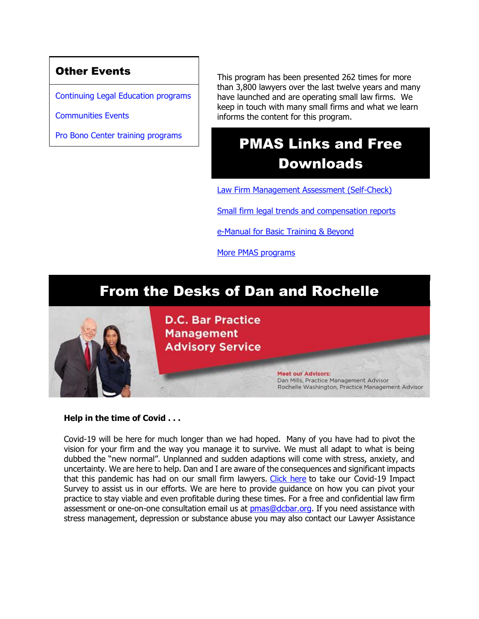### Other Events

[Continuing Legal Education programs](https://join.dcbar.org/eweb/DynamicPage.aspx?Site=DCBar&WebKey=cbe606bc-88d4-4d37-872c-f48d412a59e5&evt_etc_key=7aaf572d-f662-422f-9fe7-0ae3f4b705be&utm_source=Real%20Magnet&utm_medium=INSERT_CHANNEL&utm_campaign=INSERT_LINK_ID)

[Communities Events](https://join.dcbar.org/eweb/DynamicPage.aspx?site=dcbar&webcode=EventList&utm_source=Real%20Magnet&utm_medium=INSERT_CHANNEL&utm_campaign=INSERT_LINK_ID)

[Pro Bono Center training programs](https://www.dcbar.org/pro-bono/resources-and-training/pro-bono-center-training-program?utm_source=Real%20Magnet&utm_medium=INSERT_CHANNEL&utm_campaign=INSERT_LINK_ID)

This program has been presented 262 times for more than 3,800 lawyers over the last twelve years and many have launched and are operating small law firms. We keep in touch with many small firms and what we learn informs the content for this program.

# PMAS Links and Free Downloads

[Law Firm Management Assessment \(Self-Check\)](https://www.dcbar.org/for-lawyers/practice-management-advisory-service/practice-tips-and-compliance/self-check?utm_source=Real%20Magnet&utm_medium=INSERT_CHANNEL&utm_campaign=INSERT_LINK_ID)

[Small firm legal trends and compensation reports](https://www.dcbar.org/for-lawyers/practice-management-advisory-service/courses-and-trainings/basic-training-beyond/basic-training-beyond-supplements?utm_source=Real%20Magnet&utm_medium=INSERT_CHANNEL&utm_campaign=INSERT_LINK_ID)

[e-Manual for Basic Training & Beyond](https://documentcloud.adobe.com/link/review?uri=urn:aaid:scds:US:2182dc5f-4a8c-435d-bb76-280eddc57a6d)

[More PMAS programs](https://www.dcbar.org/for-lawyers/practice-management-advisory-service/courses-and-trainings?utm_source=Real%20Magnet&utm_medium=INSERT_CHANNEL&utm_campaign=INSERT_LINK_ID)

### From the Desks of Dan and Rochelle



#### **Help in the time of Covid . . .**

Covid-19 will be here for much longer than we had hoped. Many of you have had to pivot the vision for your firm and the way you manage it to survive. We must all adapt to what is being dubbed the "new normal". Unplanned and sudden adaptions will come with stress, anxiety, and uncertainty. We are here to help. Dan and I are aware of the consequences and significant impacts that this pandemic has had on our small firm lawyers. [Click here](http://www.mmsend31.com/link.cfm?r=zvkjaWqFFUTRz65Avl-Ftw~~&pe=62yzWiw8KkLqb8B2S3hBPJ5tCy-H8fMrPSzWagnodOXN-jS77wjVe2alfM_EA49HeaV9_PwiXSarzCxb2r2yuA~~&t=prXb-jowJMuBRf73r4YKRA~~) to take our Covid-19 Impact Survey to assist us in our efforts. We are here to provide guidance on how you can pivot your practice to stay viable and even profitable during these times. For a free and confidential law firm assessment or one-on-one consultation email us at **[pmas@dcbar.org.](mailto:pmas@dcbar.org)** If you need assistance with stress management, depression or substance abuse you may also contact our Lawyer Assistance